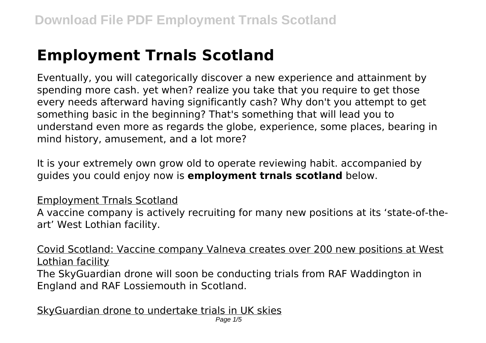## **Employment Trnals Scotland**

Eventually, you will categorically discover a new experience and attainment by spending more cash. yet when? realize you take that you require to get those every needs afterward having significantly cash? Why don't you attempt to get something basic in the beginning? That's something that will lead you to understand even more as regards the globe, experience, some places, bearing in mind history, amusement, and a lot more?

It is your extremely own grow old to operate reviewing habit. accompanied by guides you could enjoy now is **employment trnals scotland** below.

## Employment Trnals Scotland

A vaccine company is actively recruiting for many new positions at its 'state-of-theart' West Lothian facility.

Covid Scotland: Vaccine company Valneva creates over 200 new positions at West Lothian facility

The SkyGuardian drone will soon be conducting trials from RAF Waddington in England and RAF Lossiemouth in Scotland.

SkyGuardian drone to undertake trials in UK skies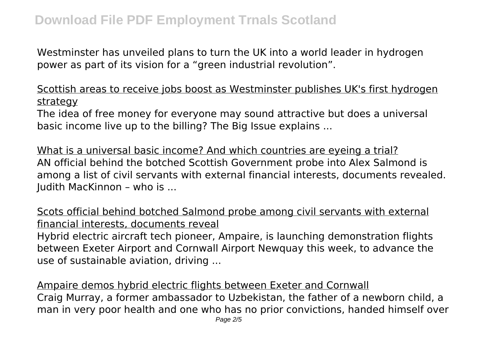Westminster has unveiled plans to turn the UK into a world leader in hydrogen power as part of its vision for a "green industrial revolution".

Scottish areas to receive jobs boost as Westminster publishes UK's first hydrogen strategy

The idea of free money for everyone may sound attractive but does a universal basic income live up to the billing? The Big Issue explains ...

What is a universal basic income? And which countries are eyeing a trial? AN official behind the botched Scottish Government probe into Alex Salmond is among a list of civil servants with external financial interests, documents revealed. Judith MacKinnon – who is ...

Scots official behind botched Salmond probe among civil servants with external financial interests, documents reveal

Hybrid electric aircraft tech pioneer, Ampaire, is launching demonstration flights between Exeter Airport and Cornwall Airport Newquay this week, to advance the use of sustainable aviation, driving ...

Ampaire demos hybrid electric flights between Exeter and Cornwall Craig Murray, a former ambassador to Uzbekistan, the father of a newborn child, a man in very poor health and one who has no prior convictions, handed himself over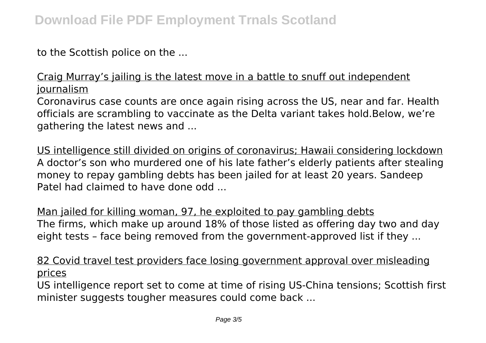to the Scottish police on the ...

Craig Murray's jailing is the latest move in a battle to snuff out independent journalism

Coronavirus case counts are once again rising across the US, near and far. Health officials are scrambling to vaccinate as the Delta variant takes hold.Below, we're gathering the latest news and ...

US intelligence still divided on origins of coronavirus; Hawaii considering lockdown A doctor's son who murdered one of his late father's elderly patients after stealing money to repay gambling debts has been jailed for at least 20 years. Sandeep Patel had claimed to have done odd ...

Man jailed for killing woman, 97, he exploited to pay gambling debts The firms, which make up around 18% of those listed as offering day two and day eight tests – face being removed from the government-approved list if they ...

82 Covid travel test providers face losing government approval over misleading prices

US intelligence report set to come at time of rising US-China tensions; Scottish first minister suggests tougher measures could come back ...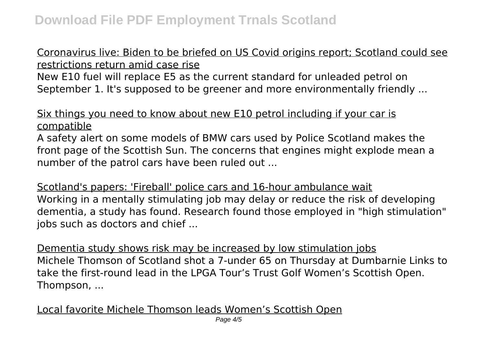## Coronavirus live: Biden to be briefed on US Covid origins report; Scotland could see restrictions return amid case rise

New E10 fuel will replace E5 as the current standard for unleaded petrol on September 1. It's supposed to be greener and more environmentally friendly ...

## Six things you need to know about new E10 petrol including if your car is compatible

A safety alert on some models of BMW cars used by Police Scotland makes the front page of the Scottish Sun. The concerns that engines might explode mean a number of the patrol cars have been ruled out ...

Scotland's papers: 'Fireball' police cars and 16-hour ambulance wait Working in a mentally stimulating job may delay or reduce the risk of developing dementia, a study has found. Research found those employed in "high stimulation" jobs such as doctors and chief ...

Dementia study shows risk may be increased by low stimulation jobs Michele Thomson of Scotland shot a 7-under 65 on Thursday at Dumbarnie Links to take the first-round lead in the LPGA Tour's Trust Golf Women's Scottish Open. Thompson, ...

Local favorite Michele Thomson leads Women's Scottish Open